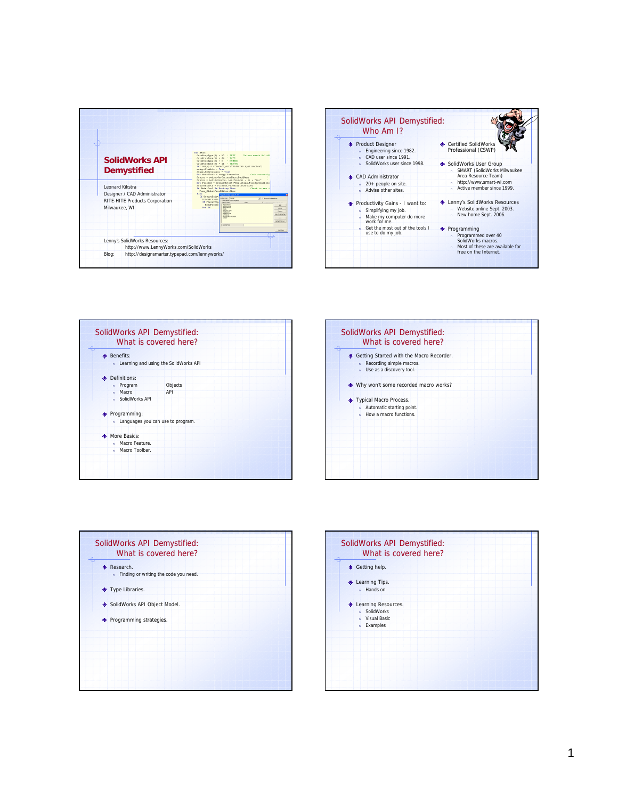





| Getting Started with the Macro Recorder.<br>Recording simple macros.<br>n<br>n Use as a discovery tool. |  |
|---------------------------------------------------------------------------------------------------------|--|
| Why won't some recorded macro works?                                                                    |  |
| Typical Macro Process.                                                                                  |  |
| Automatic starting point.<br>- How a macro functions.                                                   |  |
|                                                                                                         |  |
|                                                                                                         |  |
|                                                                                                         |  |



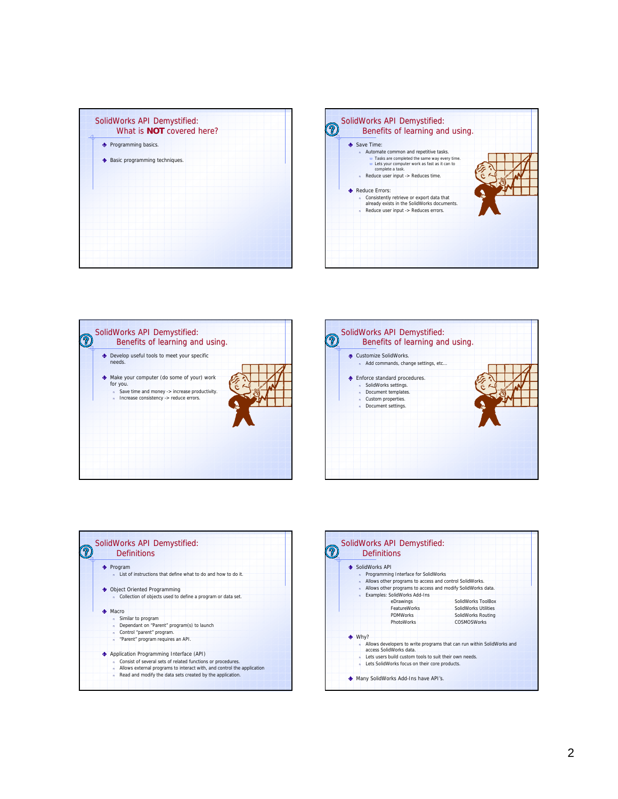









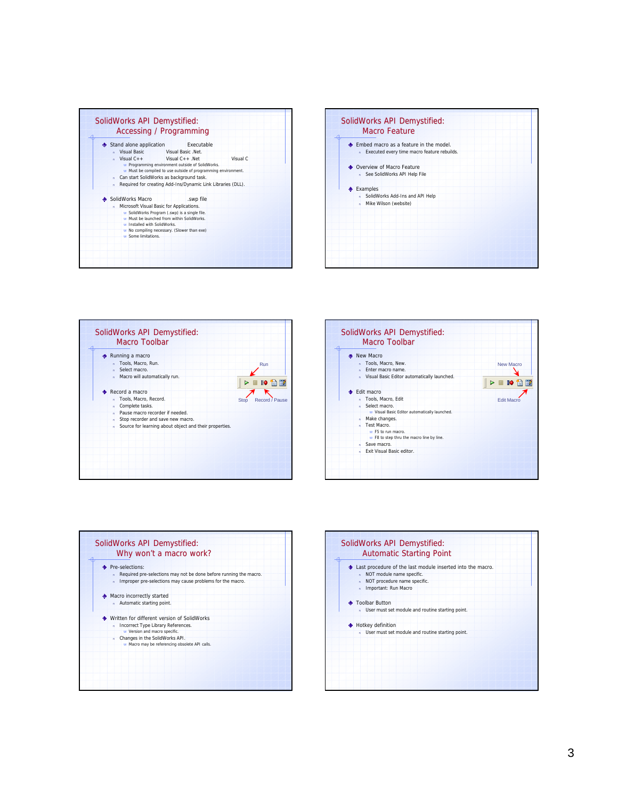









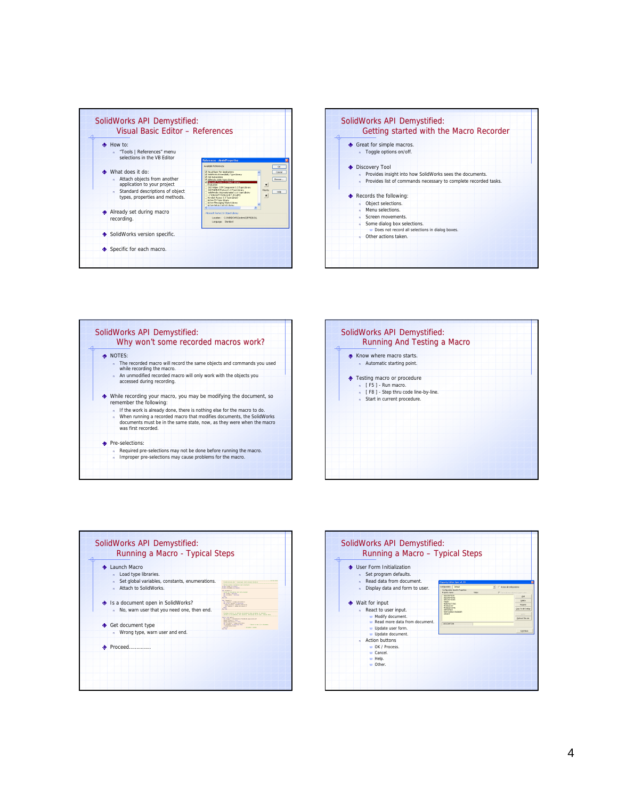









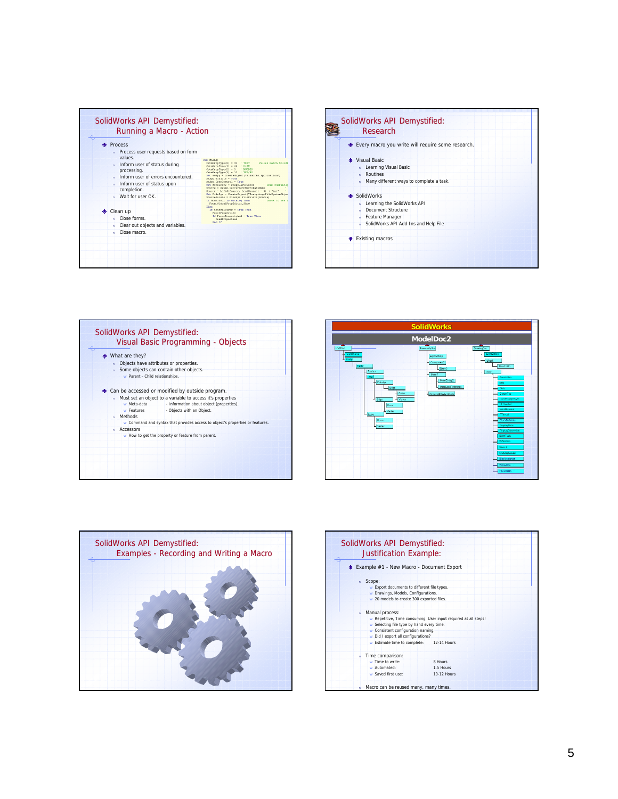









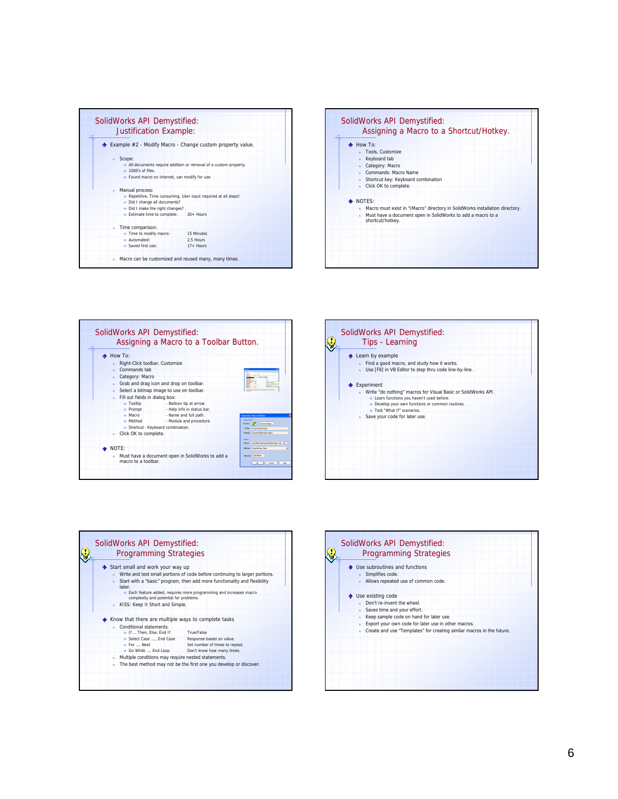|                    | SolidWorks API Demystified:<br><b>Justification Example:</b>                                                  |                                                                              |
|--------------------|---------------------------------------------------------------------------------------------------------------|------------------------------------------------------------------------------|
|                    |                                                                                                               | Example #2 - Modify Macro - Change custom property value.                    |
| Scope:<br>n.<br>W. | 1000's of files.<br>Found macro on internet, can modify for use.                                              | w All documents require addition or removal of a custom property.            |
| n<br>w<br>w<br>w   | Manual process:<br>Did I change all documents?<br>Did I make the right changes?<br>Estimate time to complete: | Repetitive, Time consuming, User input required at all steps!<br>$20+$ Hours |
| w                  | Time comparison:<br>Time to modify macro:<br>Automated:<br>w Saved first use:                                 | 15 Minutes<br>2.5 Hours<br>$17 +$ Hours                                      |
| n                  |                                                                                                               | Macro can be customized and reused many, many times.                         |









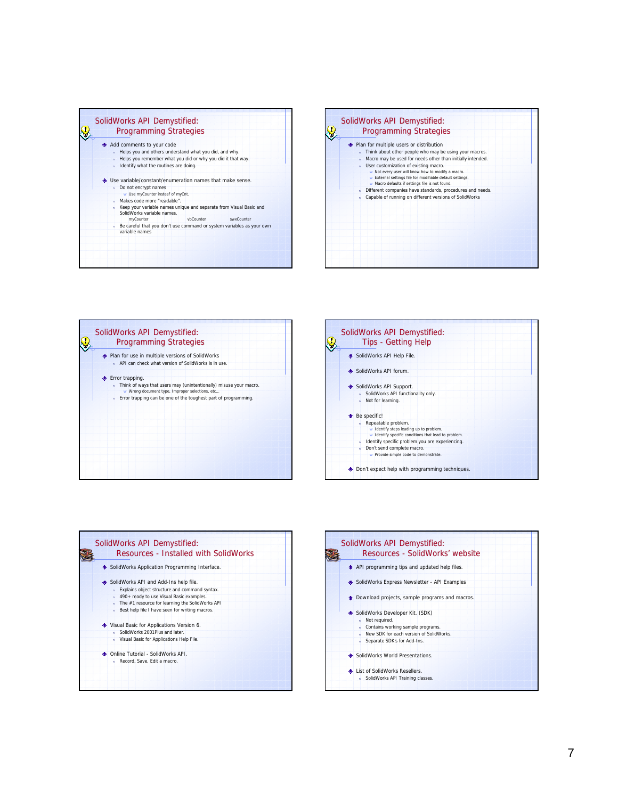





|  | <b>Tips - Getting Help</b>                                             |
|--|------------------------------------------------------------------------|
|  | SolidWorks API Help File.                                              |
|  | SolidWorks API forum.                                                  |
|  | SolidWorks API Support.                                                |
|  | n SolidWorks API functionality only.                                   |
|  | Not for learning.<br>ń                                                 |
|  | Be specific!                                                           |
|  | Repeatable problem.<br>$\mathbf{r}$                                    |
|  | Identify steps leading up to problem.<br>w                             |
|  | Identify specific conditions that lead to problem.<br>w                |
|  | Identify specific problem you are experiencing.<br>ń.                  |
|  | Don't send complete macro.<br>w<br>Provide simple code to demonstrate. |